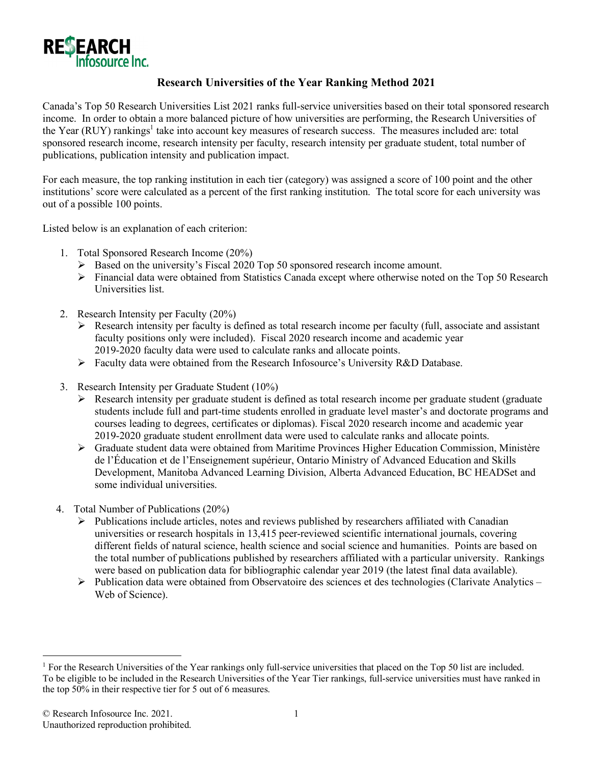

## **Research Universities of the Year Ranking Method 2021**

Canada's Top 50 Research Universities List 2021 ranks full-service universities based on their total sponsored research income. In order to obtain a more balanced picture of how universities are performing, the Research Universities of the Year (RUY) rankings<sup>1</sup> take into account key measures of research success. The measures included are: total sponsored research income, research intensity per faculty, research intensity per graduate student, total number of publications, publication intensity and publication impact.

For each measure, the top ranking institution in each tier (category) was assigned a score of 100 point and the other institutions' score were calculated as a percent of the first ranking institution. The total score for each university was out of a possible 100 points.

Listed below is an explanation of each criterion:

- 1. Total Sponsored Research Income (20%)
	- $\triangleright$  Based on the university's Fiscal 2020 Top 50 sponsored research income amount.
	- Ø Financial data were obtained from Statistics Canada except where otherwise noted on the Top 50 Research Universities list.
- 2. Research Intensity per Faculty (20%)
	- $\triangleright$  Research intensity per faculty is defined as total research income per faculty (full, associate and assistant faculty positions only were included). Fiscal 2020 research income and academic year 2019-2020 faculty data were used to calculate ranks and allocate points.
	- $\triangleright$  Faculty data were obtained from the Research Infosource's University R&D Database.
- 3. Research Intensity per Graduate Student (10%)
	- $\triangleright$  Research intensity per graduate student is defined as total research income per graduate student (graduate students include full and part-time students enrolled in graduate level master's and doctorate programs and courses leading to degrees, certificates or diplomas). Fiscal 2020 research income and academic year 2019-2020 graduate student enrollment data were used to calculate ranks and allocate points.
	- $\triangleright$  Graduate student data were obtained from Maritime Provinces Higher Education Commission, Ministère de l'Éducation et de l'Enseignement supérieur, Ontario Ministry of Advanced Education and Skills Development, Manitoba Advanced Learning Division, Alberta Advanced Education, BC HEADSet and some individual universities.
- 4. Total Number of Publications (20%)
	- $\triangleright$  Publications include articles, notes and reviews published by researchers affiliated with Canadian universities or research hospitals in 13,415 peer-reviewed scientific international journals, covering different fields of natural science, health science and social science and humanities. Points are based on the total number of publications published by researchers affiliated with a particular university. Rankings were based on publication data for bibliographic calendar year 2019 (the latest final data available).
	- $\triangleright$  Publication data were obtained from Observatoire des sciences et des technologies (Clarivate Analytics Web of Science).

 <sup>1</sup> For the Research Universities of the Year rankings only full-service universities that placed on the Top 50 list are included. To be eligible to be included in the Research Universities of the Year Tier rankings, full-service universities must have ranked in the top 50% in their respective tier for 5 out of 6 measures.